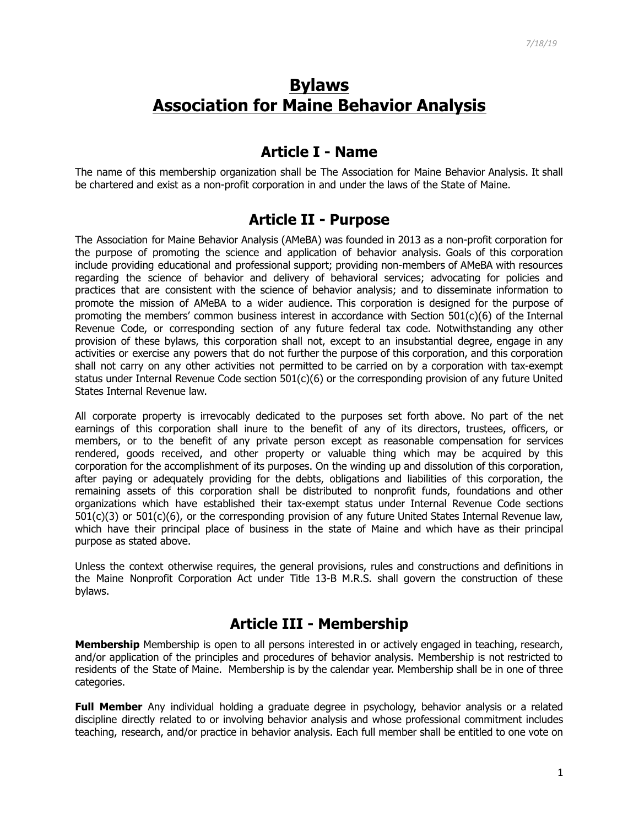# **Bylaws Association for Maine Behavior Analysis**

#### **Article I - Name**

The name of this membership organization shall be The Association for Maine Behavior Analysis. It shall be chartered and exist as a non-profit corporation in and under the laws of the State of Maine.

#### **Article II - Purpose**

The Association for Maine Behavior Analysis (AMeBA) was founded in 2013 as a non-profit corporation for the purpose of promoting the science and application of behavior analysis. Goals of this corporation include providing educational and professional support; providing non-members of AMeBA with resources regarding the science of behavior and delivery of behavioral services; advocating for policies and practices that are consistent with the science of behavior analysis; and to disseminate information to promote the mission of AMeBA to a wider audience. This corporation is designed for the purpose of promoting the members' common business interest in accordance with Section 501(c)(6) of the Internal Revenue Code, or corresponding section of any future federal tax code. Notwithstanding any other provision of these bylaws, this corporation shall not, except to an insubstantial degree, engage in any activities or exercise any powers that do not further the purpose of this corporation, and this corporation shall not carry on any other activities not permitted to be carried on by a corporation with tax-exempt status under Internal Revenue Code section 501(c)(6) or the corresponding provision of any future United States Internal Revenue law.

All corporate property is irrevocably dedicated to the purposes set forth above. No part of the net earnings of this corporation shall inure to the benefit of any of its directors, trustees, officers, or members, or to the benefit of any private person except as reasonable compensation for services rendered, goods received, and other property or valuable thing which may be acquired by this corporation for the accomplishment of its purposes. On the winding up and dissolution of this corporation, after paying or adequately providing for the debts, obligations and liabilities of this corporation, the remaining assets of this corporation shall be distributed to nonprofit funds, foundations and other organizations which have established their tax-exempt status under Internal Revenue Code sections 501(c)(3) or 501(c)(6), or the corresponding provision of any future United States Internal Revenue law, which have their principal place of business in the state of Maine and which have as their principal purpose as stated above.

Unless the context otherwise requires, the general provisions, rules and constructions and definitions in the Maine Nonprofit Corporation Act under Title 13-B M.R.S. shall govern the construction of these bylaws.

#### **Article III - Membership**

**Membership** Membership is open to all persons interested in or actively engaged in teaching, research, and/or application of the principles and procedures of behavior analysis. Membership is not restricted to residents of the State of Maine. Membership is by the calendar year. Membership shall be in one of three categories.

**Full Member** Any individual holding a graduate degree in psychology, behavior analysis or a related discipline directly related to or involving behavior analysis and whose professional commitment includes teaching, research, and/or practice in behavior analysis. Each full member shall be entitled to one vote on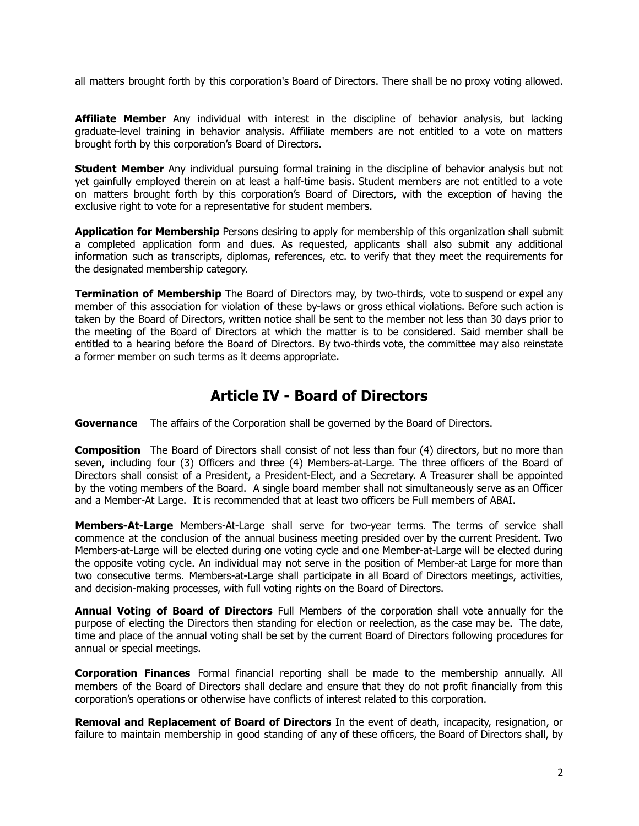all matters brought forth by this corporation's Board of Directors. There shall be no proxy voting allowed.

**Affiliate Member** Any individual with interest in the discipline of behavior analysis, but lacking graduate-level training in behavior analysis. Affiliate members are not entitled to a vote on matters brought forth by this corporation's Board of Directors.

**Student Member** Any individual pursuing formal training in the discipline of behavior analysis but not yet gainfully employed therein on at least a half-time basis. Student members are not entitled to a vote on matters brought forth by this corporation's Board of Directors, with the exception of having the exclusive right to vote for a representative for student members.

**Application for Membership** Persons desiring to apply for membership of this organization shall submit a completed application form and dues. As requested, applicants shall also submit any additional information such as transcripts, diplomas, references, etc. to verify that they meet the requirements for the designated membership category.

**Termination of Membership** The Board of Directors may, by two-thirds, vote to suspend or expel any member of this association for violation of these by-laws or gross ethical violations. Before such action is taken by the Board of Directors, written notice shall be sent to the member not less than 30 days prior to the meeting of the Board of Directors at which the matter is to be considered. Said member shall be entitled to a hearing before the Board of Directors. By two-thirds vote, the committee may also reinstate a former member on such terms as it deems appropriate.

### **Article IV - Board of Directors**

**Governance** The affairs of the Corporation shall be governed by the Board of Directors.

**Composition** The Board of Directors shall consist of not less than four (4) directors, but no more than seven, including four (3) Officers and three (4) Members-at-Large. The three officers of the Board of Directors shall consist of a President, a President-Elect, and a Secretary. A Treasurer shall be appointed by the voting members of the Board. A single board member shall not simultaneously serve as an Officer and a Member-At Large. It is recommended that at least two officers be Full members of ABAI.

**Members-At-Large** Members-At-Large shall serve for two-year terms. The terms of service shall commence at the conclusion of the annual business meeting presided over by the current President. Two Members-at-Large will be elected during one voting cycle and one Member-at-Large will be elected during the opposite voting cycle. An individual may not serve in the position of Member-at Large for more than two consecutive terms. Members-at-Large shall participate in all Board of Directors meetings, activities, and decision-making processes, with full voting rights on the Board of Directors.

**Annual Voting of Board of Directors** Full Members of the corporation shall vote annually for the purpose of electing the Directors then standing for election or reelection, as the case may be. The date, time and place of the annual voting shall be set by the current Board of Directors following procedures for annual or special meetings.

**Corporation Finances** Formal financial reporting shall be made to the membership annually. All members of the Board of Directors shall declare and ensure that they do not profit financially from this corporation's operations or otherwise have conflicts of interest related to this corporation.

**Removal and Replacement of Board of Directors** In the event of death, incapacity, resignation, or failure to maintain membership in good standing of any of these officers, the Board of Directors shall, by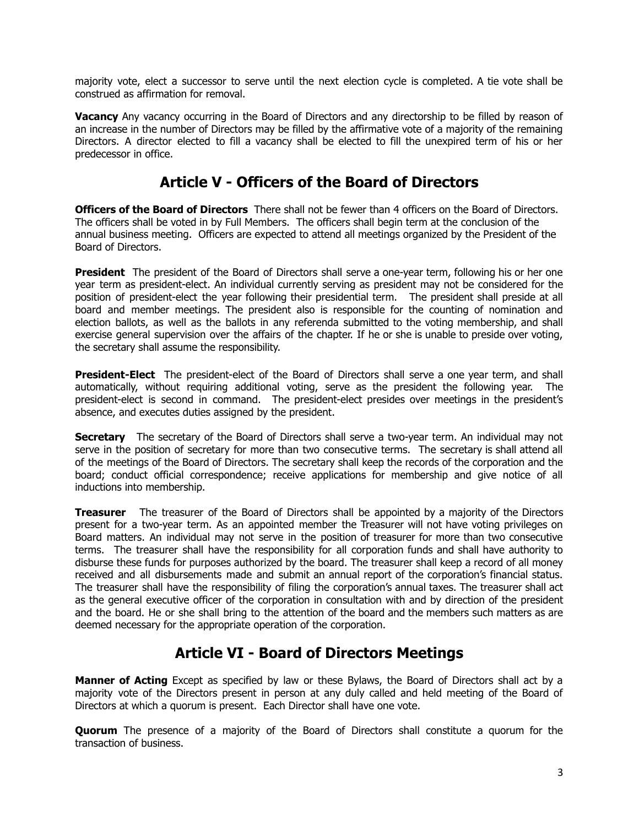majority vote, elect a successor to serve until the next election cycle is completed. A tie vote shall be construed as affirmation for removal.

**Vacancy** Any vacancy occurring in the Board of Directors and any directorship to be filled by reason of an increase in the number of Directors may be filled by the affirmative vote of a majority of the remaining Directors. A director elected to fill a vacancy shall be elected to fill the unexpired term of his or her predecessor in office.

## **Article V - Officers of the Board of Directors**

**Officers of the Board of Directors** There shall not be fewer than 4 officers on the Board of Directors. The officers shall be voted in by Full Members. The officers shall begin term at the conclusion of the annual business meeting. Officers are expected to attend all meetings organized by the President of the Board of Directors.

**President** The president of the Board of Directors shall serve a one-year term, following his or her one year term as president-elect. An individual currently serving as president may not be considered for the position of president-elect the year following their presidential term. The president shall preside at all board and member meetings. The president also is responsible for the counting of nomination and election ballots, as well as the ballots in any referenda submitted to the voting membership, and shall exercise general supervision over the affairs of the chapter. If he or she is unable to preside over voting, the secretary shall assume the responsibility.

**President-Elect** The president-elect of the Board of Directors shall serve a one year term, and shall automatically, without requiring additional voting, serve as the president the following year. The president-elect is second in command. The president-elect presides over meetings in the president's absence, and executes duties assigned by the president.

**Secretary** The secretary of the Board of Directors shall serve a two-year term. An individual may not serve in the position of secretary for more than two consecutive terms. The secretary is shall attend all of the meetings of the Board of Directors. The secretary shall keep the records of the corporation and the board; conduct official correspondence; receive applications for membership and give notice of all inductions into membership.

**Treasurer** The treasurer of the Board of Directors shall be appointed by a majority of the Directors present for a two-year term. As an appointed member the Treasurer will not have voting privileges on Board matters. An individual may not serve in the position of treasurer for more than two consecutive terms. The treasurer shall have the responsibility for all corporation funds and shall have authority to disburse these funds for purposes authorized by the board. The treasurer shall keep a record of all money received and all disbursements made and submit an annual report of the corporation's financial status. The treasurer shall have the responsibility of filing the corporation's annual taxes. The treasurer shall act as the general executive officer of the corporation in consultation with and by direction of the president and the board. He or she shall bring to the attention of the board and the members such matters as are deemed necessary for the appropriate operation of the corporation.

## **Article VI - Board of Directors Meetings**

**Manner of Acting** Except as specified by law or these Bylaws, the Board of Directors shall act by a majority vote of the Directors present in person at any duly called and held meeting of the Board of Directors at which a quorum is present. Each Director shall have one vote.

**Quorum** The presence of a majority of the Board of Directors shall constitute a quorum for the transaction of business.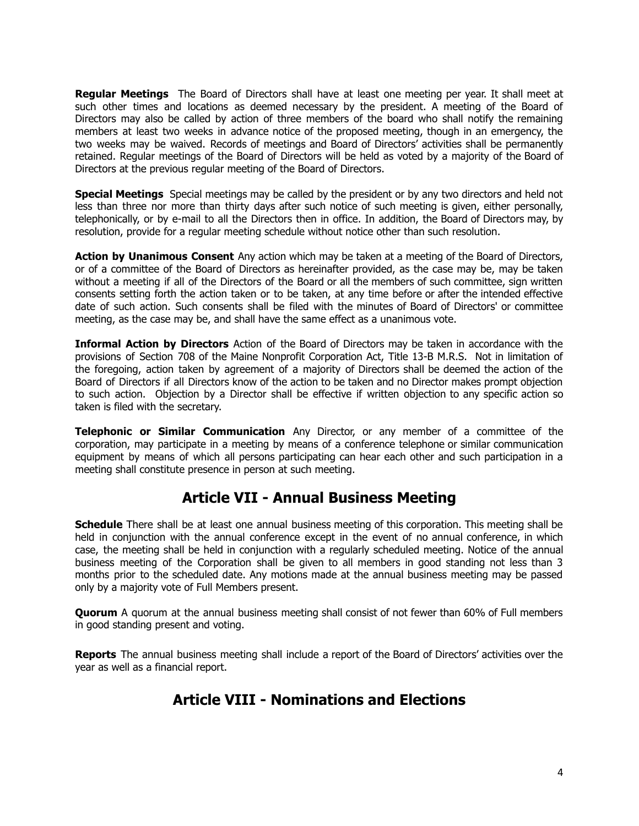**Regular Meetings** The Board of Directors shall have at least one meeting per year. It shall meet at such other times and locations as deemed necessary by the president. A meeting of the Board of Directors may also be called by action of three members of the board who shall notify the remaining members at least two weeks in advance notice of the proposed meeting, though in an emergency, the two weeks may be waived. Records of meetings and Board of Directors' activities shall be permanently retained. Regular meetings of the Board of Directors will be held as voted by a majority of the Board of Directors at the previous regular meeting of the Board of Directors.

**Special Meetings** Special meetings may be called by the president or by any two directors and held not less than three nor more than thirty days after such notice of such meeting is given, either personally, telephonically, or by e-mail to all the Directors then in office. In addition, the Board of Directors may, by resolution, provide for a regular meeting schedule without notice other than such resolution.

**Action by Unanimous Consent** Any action which may be taken at a meeting of the Board of Directors, or of a committee of the Board of Directors as hereinafter provided, as the case may be, may be taken without a meeting if all of the Directors of the Board or all the members of such committee, sign written consents setting forth the action taken or to be taken, at any time before or after the intended effective date of such action. Such consents shall be filed with the minutes of Board of Directors' or committee meeting, as the case may be, and shall have the same effect as a unanimous vote.

**Informal Action by Directors** Action of the Board of Directors may be taken in accordance with the provisions of Section 708 of the Maine Nonprofit Corporation Act, Title 13-B M.R.S. Not in limitation of the foregoing, action taken by agreement of a majority of Directors shall be deemed the action of the Board of Directors if all Directors know of the action to be taken and no Director makes prompt objection to such action. Objection by a Director shall be effective if written objection to any specific action so taken is filed with the secretary.

**Telephonic or Similar Communication** Any Director, or any member of a committee of the corporation, may participate in a meeting by means of a conference telephone or similar communication equipment by means of which all persons participating can hear each other and such participation in a meeting shall constitute presence in person at such meeting.

## **Article VII - Annual Business Meeting**

**Schedule** There shall be at least one annual business meeting of this corporation. This meeting shall be held in conjunction with the annual conference except in the event of no annual conference, in which case, the meeting shall be held in conjunction with a regularly scheduled meeting. Notice of the annual business meeting of the Corporation shall be given to all members in good standing not less than 3 months prior to the scheduled date. Any motions made at the annual business meeting may be passed only by a majority vote of Full Members present.

**Quorum** A quorum at the annual business meeting shall consist of not fewer than 60% of Full members in good standing present and voting.

**Reports** The annual business meeting shall include a report of the Board of Directors' activities over the year as well as a financial report.

## **Article VIII - Nominations and Elections**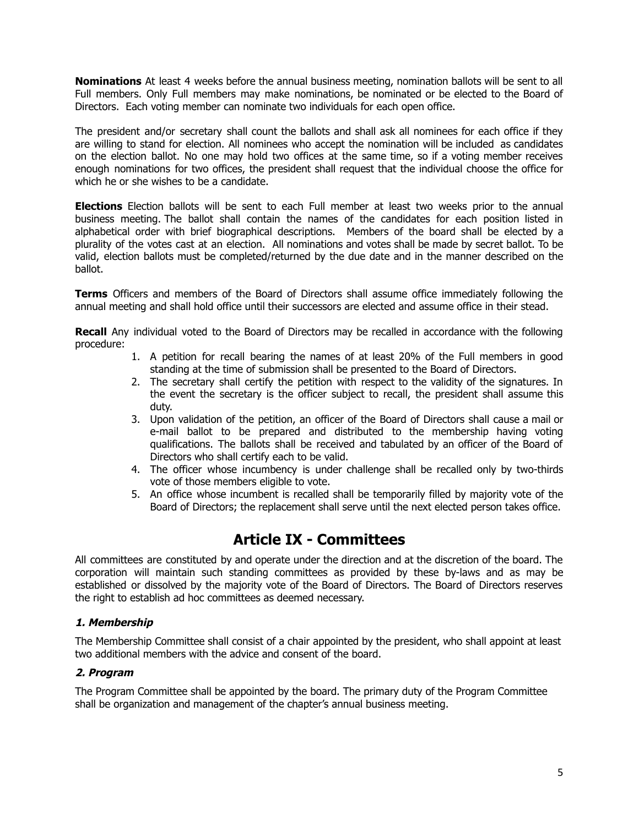**Nominations** At least 4 weeks before the annual business meeting, nomination ballots will be sent to all Full members. Only Full members may make nominations, be nominated or be elected to the Board of Directors. Each voting member can nominate two individuals for each open office.

The president and/or secretary shall count the ballots and shall ask all nominees for each office if they are willing to stand for election. All nominees who accept the nomination will be included as candidates on the election ballot. No one may hold two offices at the same time, so if a voting member receives enough nominations for two offices, the president shall request that the individual choose the office for which he or she wishes to be a candidate.

**Elections** Election ballots will be sent to each Full member at least two weeks prior to the annual business meeting. The ballot shall contain the names of the candidates for each position listed in alphabetical order with brief biographical descriptions. Members of the board shall be elected by a plurality of the votes cast at an election. All nominations and votes shall be made by secret ballot. To be valid, election ballots must be completed/returned by the due date and in the manner described on the ballot.

**Terms** Officers and members of the Board of Directors shall assume office immediately following the annual meeting and shall hold office until their successors are elected and assume office in their stead.

**Recall** Any individual voted to the Board of Directors may be recalled in accordance with the following procedure:

- 1. A petition for recall bearing the names of at least 20% of the Full members in good standing at the time of submission shall be presented to the Board of Directors.
- 2. The secretary shall certify the petition with respect to the validity of the signatures. In the event the secretary is the officer subject to recall, the president shall assume this duty.
- 3. Upon validation of the petition, an officer of the Board of Directors shall cause a mail or e-mail ballot to be prepared and distributed to the membership having voting qualifications. The ballots shall be received and tabulated by an officer of the Board of Directors who shall certify each to be valid.
- 4. The officer whose incumbency is under challenge shall be recalled only by two-thirds vote of those members eligible to vote.
- 5. An office whose incumbent is recalled shall be temporarily filled by majority vote of the Board of Directors; the replacement shall serve until the next elected person takes office.

### **Article IX - Committees**

All committees are constituted by and operate under the direction and at the discretion of the board. The corporation will maintain such standing committees as provided by these by-laws and as may be established or dissolved by the majority vote of the Board of Directors. The Board of Directors reserves the right to establish ad hoc committees as deemed necessary.

#### **1. Membership**

The Membership Committee shall consist of a chair appointed by the president, who shall appoint at least two additional members with the advice and consent of the board.

#### **2. Program**

The Program Committee shall be appointed by the board. The primary duty of the Program Committee shall be organization and management of the chapter's annual business meeting.